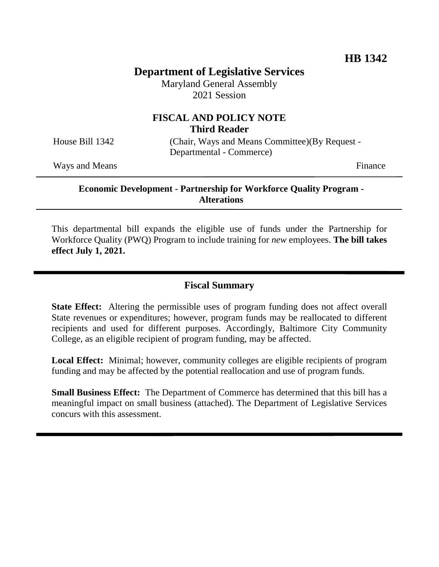# **Department of Legislative Services**

Maryland General Assembly 2021 Session

## **FISCAL AND POLICY NOTE Third Reader**

House Bill 1342 (Chair, Ways and Means Committee)(By Request - Departmental - Commerce)

Ways and Means Finance

### **Economic Development - Partnership for Workforce Quality Program - Alterations**

This departmental bill expands the eligible use of funds under the Partnership for Workforce Quality (PWQ) Program to include training for *new* employees. **The bill takes effect July 1, 2021.**

## **Fiscal Summary**

**State Effect:** Altering the permissible uses of program funding does not affect overall State revenues or expenditures; however, program funds may be reallocated to different recipients and used for different purposes. Accordingly, Baltimore City Community College, as an eligible recipient of program funding, may be affected.

**Local Effect:** Minimal; however, community colleges are eligible recipients of program funding and may be affected by the potential reallocation and use of program funds.

**Small Business Effect:** The Department of Commerce has determined that this bill has a meaningful impact on small business (attached). The Department of Legislative Services concurs with this assessment.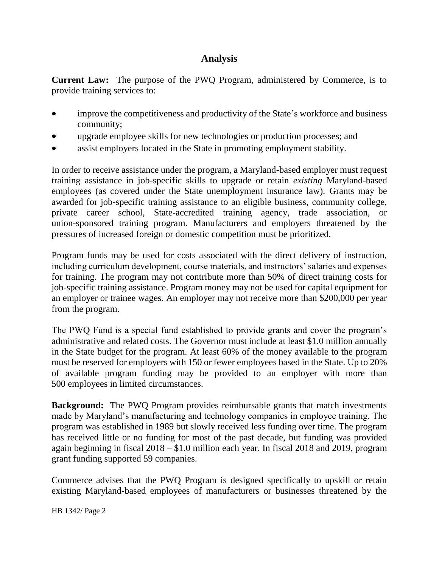# **Analysis**

**Current Law:** The purpose of the PWQ Program, administered by Commerce, is to provide training services to:

- improve the competitiveness and productivity of the State's workforce and business community;
- upgrade employee skills for new technologies or production processes; and
- assist employers located in the State in promoting employment stability.

In order to receive assistance under the program, a Maryland-based employer must request training assistance in job-specific skills to upgrade or retain *existing* Maryland-based employees (as covered under the State unemployment insurance law). Grants may be awarded for job-specific training assistance to an eligible business, community college, private career school, State-accredited training agency, trade association, or union-sponsored training program. Manufacturers and employers threatened by the pressures of increased foreign or domestic competition must be prioritized.

Program funds may be used for costs associated with the direct delivery of instruction, including curriculum development, course materials, and instructors' salaries and expenses for training. The program may not contribute more than 50% of direct training costs for job-specific training assistance. Program money may not be used for capital equipment for an employer or trainee wages. An employer may not receive more than \$200,000 per year from the program.

The PWQ Fund is a special fund established to provide grants and cover the program's administrative and related costs. The Governor must include at least \$1.0 million annually in the State budget for the program. At least 60% of the money available to the program must be reserved for employers with 150 or fewer employees based in the State. Up to 20% of available program funding may be provided to an employer with more than 500 employees in limited circumstances.

**Background:** The PWQ Program provides reimbursable grants that match investments made by Maryland's manufacturing and technology companies in employee training. The program was established in 1989 but slowly received less funding over time. The program has received little or no funding for most of the past decade, but funding was provided again beginning in fiscal 2018 – \$1.0 million each year. In fiscal 2018 and 2019, program grant funding supported 59 companies.

Commerce advises that the PWQ Program is designed specifically to upskill or retain existing Maryland-based employees of manufacturers or businesses threatened by the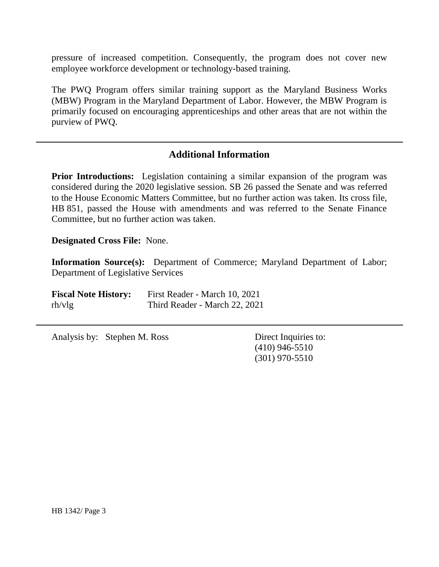pressure of increased competition. Consequently, the program does not cover new employee workforce development or technology-based training.

The PWQ Program offers similar training support as the Maryland Business Works (MBW) Program in the Maryland Department of Labor. However, the MBW Program is primarily focused on encouraging apprenticeships and other areas that are not within the purview of PWQ.

## **Additional Information**

**Prior Introductions:** Legislation containing a similar expansion of the program was considered during the 2020 legislative session. SB 26 passed the Senate and was referred to the House Economic Matters Committee, but no further action was taken. Its cross file, HB 851, passed the House with amendments and was referred to the Senate Finance Committee, but no further action was taken.

**Designated Cross File:** None.

**Information Source(s):** Department of Commerce; Maryland Department of Labor; Department of Legislative Services

| <b>Fiscal Note History:</b> | First Reader - March 10, 2021 |
|-----------------------------|-------------------------------|
| rh/vlg                      | Third Reader - March 22, 2021 |

Analysis by: Stephen M. Ross Direct Inquiries to:

(410) 946-5510 (301) 970-5510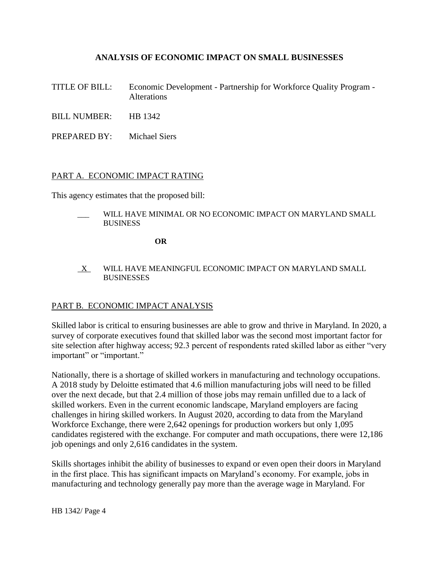### **ANALYSIS OF ECONOMIC IMPACT ON SMALL BUSINESSES**

- TITLE OF BILL: Economic Development Partnership for Workforce Quality Program Alterations
- BILL NUMBER: HB 1342
- PREPARED BY: Michael Siers

#### PART A. ECONOMIC IMPACT RATING

This agency estimates that the proposed bill:

WILL HAVE MINIMAL OR NO ECONOMIC IMPACT ON MARYLAND SMALL BUSINESS

**OR**

 $X$  WILL HAVE MEANINGFUL ECONOMIC IMPACT ON MARYLAND SMALL **BUSINESSES** 

#### PART B. ECONOMIC IMPACT ANALYSIS

Skilled labor is critical to ensuring businesses are able to grow and thrive in Maryland. In 2020, a survey of corporate executives found that skilled labor was the second most important factor for site selection after highway access; 92.3 percent of respondents rated skilled labor as either "very important" or "important."

Nationally, there is a shortage of skilled workers in manufacturing and technology occupations. A 2018 study by Deloitte estimated that 4.6 million manufacturing jobs will need to be filled over the next decade, but that 2.4 million of those jobs may remain unfilled due to a lack of skilled workers. Even in the current economic landscape, Maryland employers are facing challenges in hiring skilled workers. In August 2020, according to data from the Maryland Workforce Exchange, there were 2,642 openings for production workers but only 1,095 candidates registered with the exchange. For computer and math occupations, there were 12,186 job openings and only 2,616 candidates in the system.

Skills shortages inhibit the ability of businesses to expand or even open their doors in Maryland in the first place. This has significant impacts on Maryland's economy. For example, jobs in manufacturing and technology generally pay more than the average wage in Maryland. For